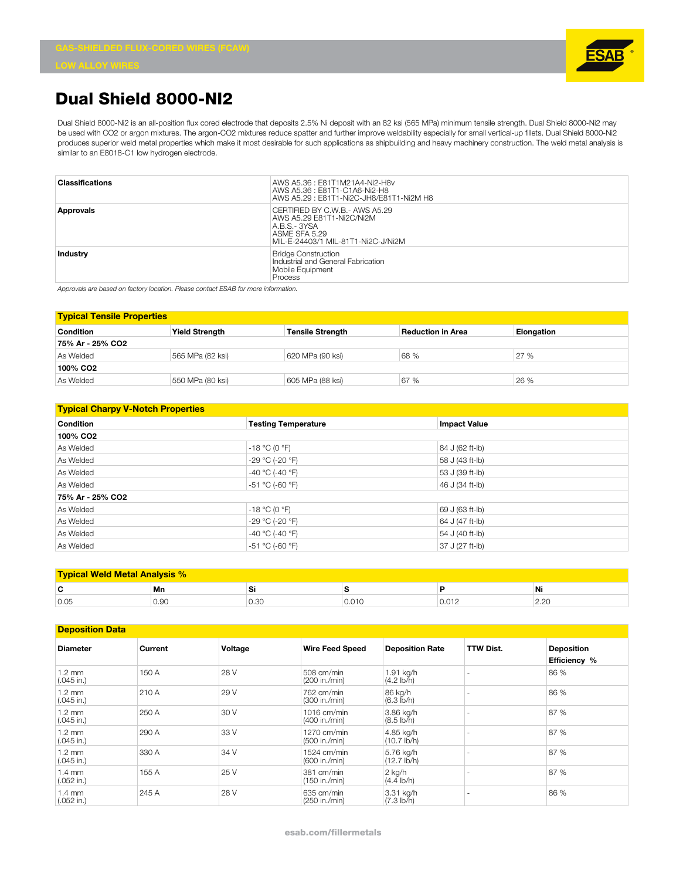

## **Dual Shield 8000-NI2**

Dual Shield 8000-Ni2 is an all-position flux cored electrode that deposits 2.5% Ni deposit with an 82 ksi (565 MPa) minimum tensile strength. Dual Shield 8000-Ni2 may be used with CO2 or argon mixtures. The argon-CO2 mixtures reduce spatter and further improve weldability especially for small vertical-up fillets. Dual Shield 8000-Ni2 produces superior weld metal properties which make it most desirable for such applications as shipbuilding and heavy machinery construction. The weld metal analysis is similar to an E8018-C1 low hydrogen electrode.

| <b>Classifications</b> | AWS A5.36: E81T1M21A4-Ni2-H8v<br>AWS A5.36 : E81T1-C1A6-Ni2-H8<br>AWS A5.29: E81T1-Ni2C-JH8/E81T1-Ni2M H8                          |
|------------------------|------------------------------------------------------------------------------------------------------------------------------------|
| Approvals              | CERTIFIED BY C.W.B.- AWS A5.29<br>AWS A5.29 E81T1-Ni2C/Ni2M<br>A.B.S.- 3YSA<br>ASME SFA 5.29<br>MIL-E-24403/1 MIL-81T1-Ni2C-J/Ni2M |
| Industry               | <b>Bridge Construction</b><br>Industrial and General Fabrication<br>Mobile Equipment<br>Process                                    |

*Approvals are based on factory location. Please contact ESAB for more information.*

| <b>Typical Tensile Properties</b> |                       |                         |                          |            |  |  |
|-----------------------------------|-----------------------|-------------------------|--------------------------|------------|--|--|
| <b>Condition</b>                  | <b>Yield Strength</b> | <b>Tensile Strength</b> | <b>Reduction in Area</b> | Elongation |  |  |
| 75% Ar - 25% CO2                  |                       |                         |                          |            |  |  |
| As Welded                         | 565 MPa (82 ksi)      | 620 MPa (90 ksi)        | 68 %                     | 27 %       |  |  |
| 100% CO <sub>2</sub>              |                       |                         |                          |            |  |  |
| As Welded                         | 550 MPa (80 ksi)      | 605 MPa (88 ksi)        | 67 %                     | 26 %       |  |  |

| <b>Typical Charpy V-Notch Properties</b> |                            |                     |  |  |  |
|------------------------------------------|----------------------------|---------------------|--|--|--|
| <b>Condition</b>                         | <b>Testing Temperature</b> | <b>Impact Value</b> |  |  |  |
| 100% CO <sub>2</sub>                     |                            |                     |  |  |  |
| As Welded                                | $-18 °C (0 °F)$            | 84 J (62 ft-lb)     |  |  |  |
| As Welded                                | -29 °C (-20 °F)            | 58 J (43 ft-lb)     |  |  |  |
| As Welded                                | $-40 °C (-40 °F)$          | 53 J (39 ft-lb)     |  |  |  |
| As Welded                                | -51 °C (-60 °F)            | 46 J (34 ft-lb)     |  |  |  |
| 75% Ar - 25% CO2                         |                            |                     |  |  |  |
| As Welded                                | $-18 °C (0 °F)$            | 69 J (63 ft-lb)     |  |  |  |
| As Welded                                | -29 °C (-20 °F)            | 64 J (47 ft-lb)     |  |  |  |
| As Welded                                | $-40 °C (-40 °F)$          | 54 J (40 ft-lb)     |  |  |  |
| As Welded                                | -51 °C (-60 °F)            | 37 J (27 ft-lb)     |  |  |  |

| <b>Typical Weld Metal Analysis %</b> |                |             |       |         |      |
|--------------------------------------|----------------|-------------|-------|---------|------|
| -                                    | Mn             | ູ<br>$\sim$ |       |         | Ni   |
| 0.05                                 | $\sim$<br>บ.ษบ | 0.30        | 0.010 | 0.U I 4 | ے ۔ے |

**Deposition Data**

| <b>Diameter</b>                  | Current | Voltage | <b>Wire Feed Speed</b>         | <b>Deposition Rate</b>             | <b>TTW Dist.</b> | <b>Deposition</b><br>Efficiency % |
|----------------------------------|---------|---------|--------------------------------|------------------------------------|------------------|-----------------------------------|
| $1.2 \text{ mm}$<br>$(.045$ in.) | 150 A   | 28 V    | 508 cm/min<br>(200 in./min)    | 1.91 kg/h<br>$(4.2 \, lb/h)$       |                  | 86 %                              |
| $1.2 \text{ mm}$<br>$(.045$ in.) | 210 A   | 29 V    | 762 cm/min<br>(300 in./min)    | 86 kg/h<br>(6.3 lb/h)              |                  | 86 %                              |
| $1.2 \text{ mm}$<br>$(.045$ in.) | 250 A   | 30 V    | $1016$ cm/min<br>(400 in./min) | 3.86 kg/h<br>$(8.5 \, lb/h)$       |                  | 87 %                              |
| $1.2 \text{ mm}$<br>$(.045$ in.) | 290 A   | 33 V    | 1270 cm/min<br>(500 in./min)   | 4.85 kg/h<br>$(10.7 \text{ lb/h})$ |                  | 87 %                              |
| $1.2 \text{ mm}$<br>$(.045$ in.) | 330 A   | 34 V    | $1524$ cm/min<br>(600 in./min) | 5.76 kg/h<br>$(12.7 \text{ lb/h})$ |                  | 87 %                              |
| $1.4 \text{ mm}$<br>$(.052$ in.) | 155 A   | 25 V    | 381 cm/min<br>(150 in./min)    | $2$ kg/h<br>$(4.4 \, lb/h)$        |                  | 87 %                              |
| $1.4 \text{ mm}$<br>$(.052$ in.) | 245 A   | 28 V    | 635 cm/min<br>(250 in./min)    | 3.31 kg/h<br>$(7.3 \, lb/h)$       |                  | 86 %                              |